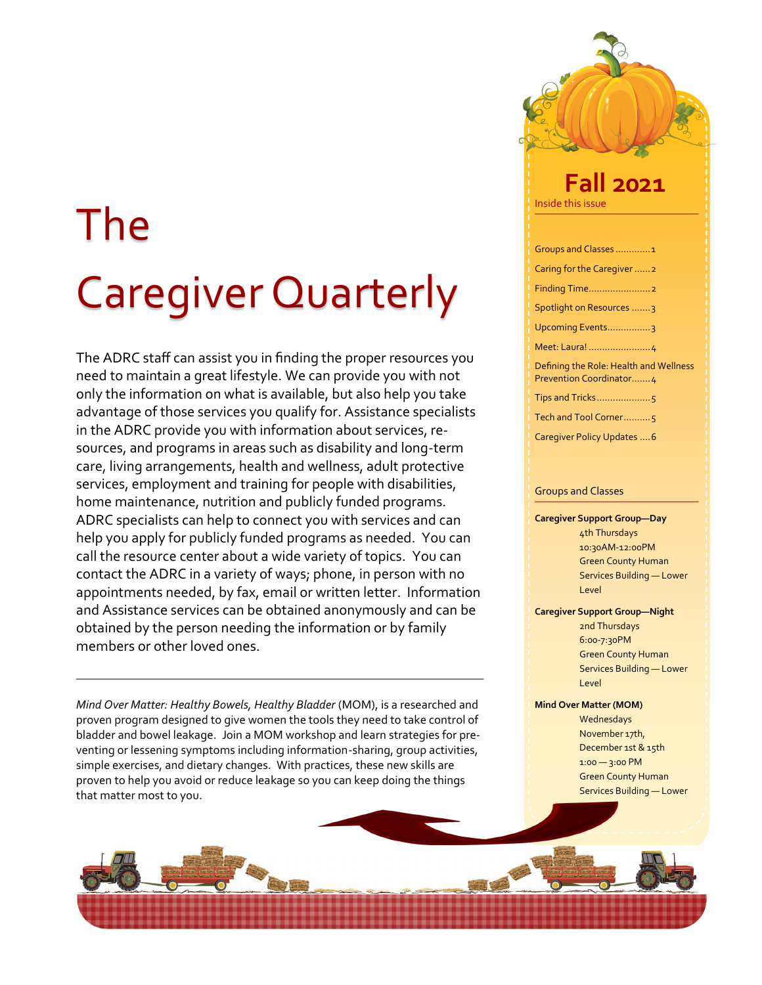## The Caregiver Quarterly

The ADRC staff can assist you in finding the proper resources you need to maintain a great lifestyle. We can provide you with not only the information on what is available, but also help you take advantage of those services you qualify for. Assistance specialists in the ADRC provide you with information about services, resources, and programs in areas such as disability and long-term care, living arrangements, health and wellness, adult protective services, employment and training for people with disabilities, home maintenance, nutrition and publicly funded programs. ADRC specialists can help to connect you with services and can help you apply for publicly funded programs as needed. You can call the resource center about a wide variety of topics. You can contact the ADRC in a variety of ways; phone, in person with no appointments needed, by fax, email or written letter. Information and Assistance services can be obtained anonymously and can be obtained by the person needing the information or by family members or other loved ones.

*Mind Over Matter: Healthy Bowels, Healthy Bladder* (MOM), is a researched and proven program designed to give women the tools they need to take control of bladder and bowel leakage. Join a MOM workshop and learn strategies for preventing or lessening symptoms including information-sharing, group activities, simple exercises, and dietary changes. With practices, these new skills are proven to help you avoid or reduce leakage so you can keep doing the things that matter most to you.

# Inside this issue **Fall 2021**

| Groups and Classes1                                               |
|-------------------------------------------------------------------|
| Caring for the Caregiver2                                         |
|                                                                   |
| Spotlight on Resources 3                                          |
| Upcoming Events3                                                  |
|                                                                   |
| Defining the Role: Health and Wellness<br>Prevention Coordinator4 |
|                                                                   |
| Tech and Tool Corner5                                             |
| Caregiver Policy Updates  6                                       |

#### Groups and Classes

#### **Caregiver Support Group—Day**  4th Thursdays 10:30AM-12:00PM Green County Human Services Building — Lower Level

#### **Caregiver Support Group—Night**

2nd Thursdays 6:00-7:30PM Green County Human Services Building — Lower Level

#### **Mind Over Matter (MOM)**

Wednesdays November 17th, December 1st & 15th 1:00 — 3:00 PM Green County Human Services Building — Lower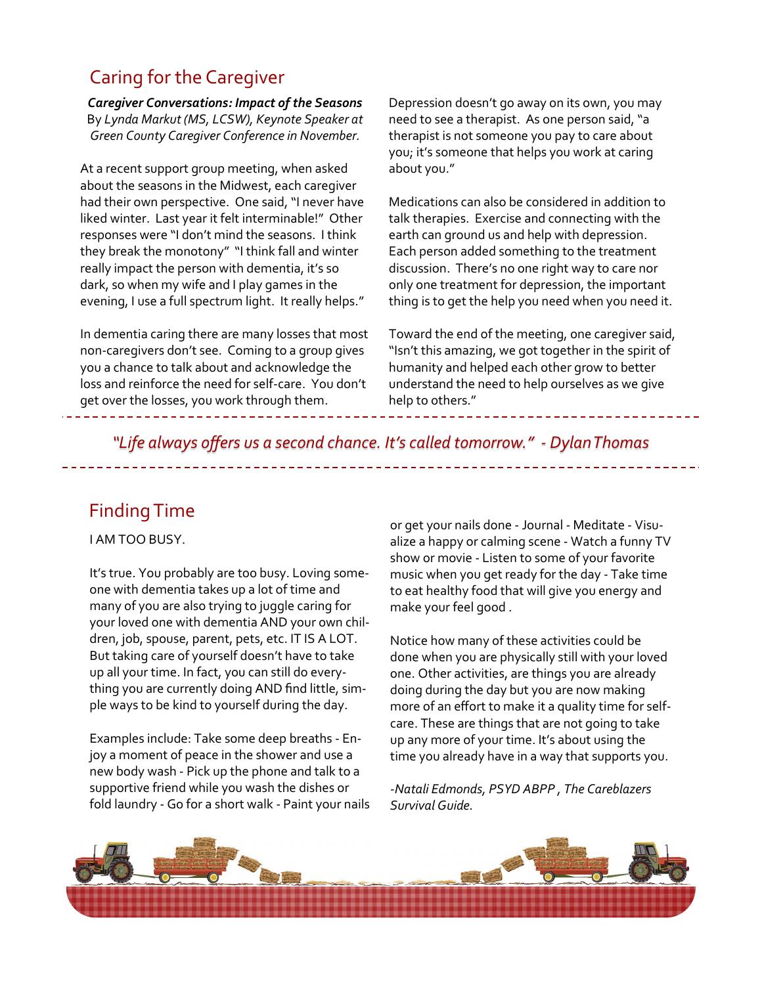## Caring for the Caregiver

*Caregiver Conversations: Impact of the Seasons* By *Lynda Markut (MS, LCSW), Keynote Speaker at Green County Caregiver Conference in November.*

At a recent support group meeting, when asked about the seasons in the Midwest, each caregiver had their own perspective. One said, "I never have liked winter. Last year it felt interminable!" Other responses were "I don't mind the seasons. I think they break the monotony" "I think fall and winter really impact the person with dementia, it's so dark, so when my wife and I play games in the evening, I use a full spectrum light. It really helps."

In dementia caring there are many losses that most non-caregivers don't see. Coming to a group gives you a chance to talk about and acknowledge the loss and reinforce the need for self-care. You don't get over the losses, you work through them.

Depression doesn't go away on its own, you may need to see a therapist. As one person said, "a therapist is not someone you pay to care about you; it's someone that helps you work at caring about you."

Medications can also be considered in addition to talk therapies. Exercise and connecting with the earth can ground us and help with depression. Each person added something to the treatment discussion. There's no one right way to care nor only one treatment for depression, the important thing is to get the help you need when you need it.

Toward the end of the meeting, one caregiver said, "Isn't this amazing, we got together in the spirit of humanity and helped each other grow to better understand the need to help ourselves as we give help to others."

*"Life always offers us a second chance. It's called tomorrow." - Dylan Thomas*

## Finding Time

I AM TOO BUSY.

It's true. You probably are too busy. Loving someone with dementia takes up a lot of time and many of you are also trying to juggle caring for your loved one with dementia AND your own children, job, spouse, parent, pets, etc. IT IS A LOT. But taking care of yourself doesn't have to take up all your time. In fact, you can still do everything you are currently doing AND find little, simple ways to be kind to yourself during the day.

Examples include: Take some deep breaths - Enjoy a moment of peace in the shower and use a new body wash - Pick up the phone and talk to a supportive friend while you wash the dishes or fold laundry - Go for a short walk - Paint your nails or get your nails done - Journal - Meditate - Visualize a happy or calming scene - Watch a funny TV show or movie - Listen to some of your favorite music when you get ready for the day - Take time to eat healthy food that will give you energy and make your feel good .

Notice how many of these activities could be done when you are physically still with your loved one. Other activities, are things you are already doing during the day but you are now making more of an effort to make it a quality time for selfcare. These are things that are not going to take up any more of your time. It's about using the time you already have in a way that supports you.

*-Natali Edmonds, PSYD ABPP , The Careblazers Survival Guide.* 

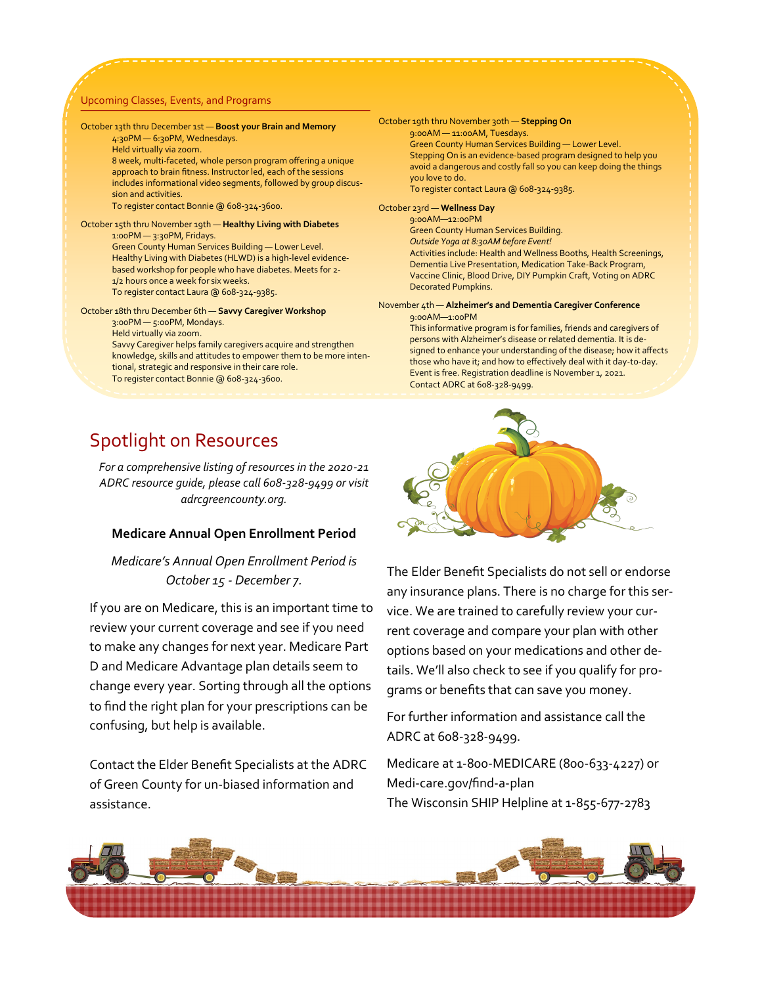#### Upcoming Classes, Events, and Programs

#### October 13th thru December 1st — **Boost your Brain and Memory** 4:30PM — 6:30PM, Wednesdays.

Held virtually via zoom.

8 week, multi-faceted, whole person program offering a unique approach to brain fitness. Instructor led, each of the sessions includes informational video segments, followed by group discussion and activities.

To register contact Bonnie @ 608-324-3600.

#### October 15th thru November 19th — **Healthy Living with Diabetes** 1:00PM — 3:30PM, Fridays. Green County Human Services Building — Lower Level. Healthy Living with Diabetes (HLWD) is a high-level evidencebased workshop for people who have diabetes. Meets for 2- 1/2 hours once a week for six weeks. To register contact Laura @ 608-324-9385.

#### October 18th thru December 6th — **Savvy Caregiver Workshop** 3:00PM — 5:00PM, Mondays. Held virtually via zoom.

Savvy Caregiver helps family caregivers acquire and strengthen knowledge, skills and attitudes to empower them to be more intentional, strategic and responsive in their care role. To register contact Bonnie @ 608-324-3600.

October 19th thru November 30th — **Stepping On** 9:00AM — 11:00AM, Tuesdays. Green County Human Services Building — Lower Level. Stepping On is an evidence-based program designed to help you avoid a dangerous and costly fall so you can keep doing the things you love to do. To register contact Laura @ 608-324-9385.

#### October 23rd — **Wellness Day**

9:00AM—12:00PM Green County Human Services Building. *Outside Yoga at 8:30AM before Event!* Activities include: Health and Wellness Booths, Health Screenings, Dementia Live Presentation, Medication Take-Back Program, Vaccine Clinic, Blood Drive, DIY Pumpkin Craft, Voting on ADRC Decorated Pumpkins.

#### November 4th — **Alzheimer's and Dementia Caregiver Conference** 9:00AM—1:00PM

This informative program is for families, friends and caregivers of persons with Alzheimer's disease or related dementia. It is designed to enhance your understanding of the disease; how it affects those who have it; and how to effectively deal with it day-to-day. Event is free. Registration deadline is November 1, 2021. Contact ADRC at 608-328-9499.

## Spotlight on Resources

*For a comprehensive listing of resources in the 2020-21 ADRC resource guide, please call 608-328-9499 or visit adrcgreencounty.org.* 

#### **Medicare Annual Open Enrollment Period**

#### *Medicare's Annual Open Enrollment Period is October 15 - December 7.*

If you are on Medicare, this is an important time to review your current coverage and see if you need to make any changes for next year. Medicare Part D and Medicare Advantage plan details seem to change every year. Sorting through all the options to find the right plan for your prescriptions can be confusing, but help is available.

Contact the Elder Benefit Specialists at the ADRC of Green County for un-biased information and assistance.



The Elder Benefit Specialists do not sell or endorse any insurance plans. There is no charge for this service. We are trained to carefully review your current coverage and compare your plan with other options based on your medications and other details. We'll also check to see if you qualify for programs or benefits that can save you money.

For further information and assistance call the ADRC at 608-328-9499.

Medicare at 1-800-MEDICARE (800-633-4227) or Medi-care.gov/find-a-plan The Wisconsin SHIP Helpline at 1-855-677-2783

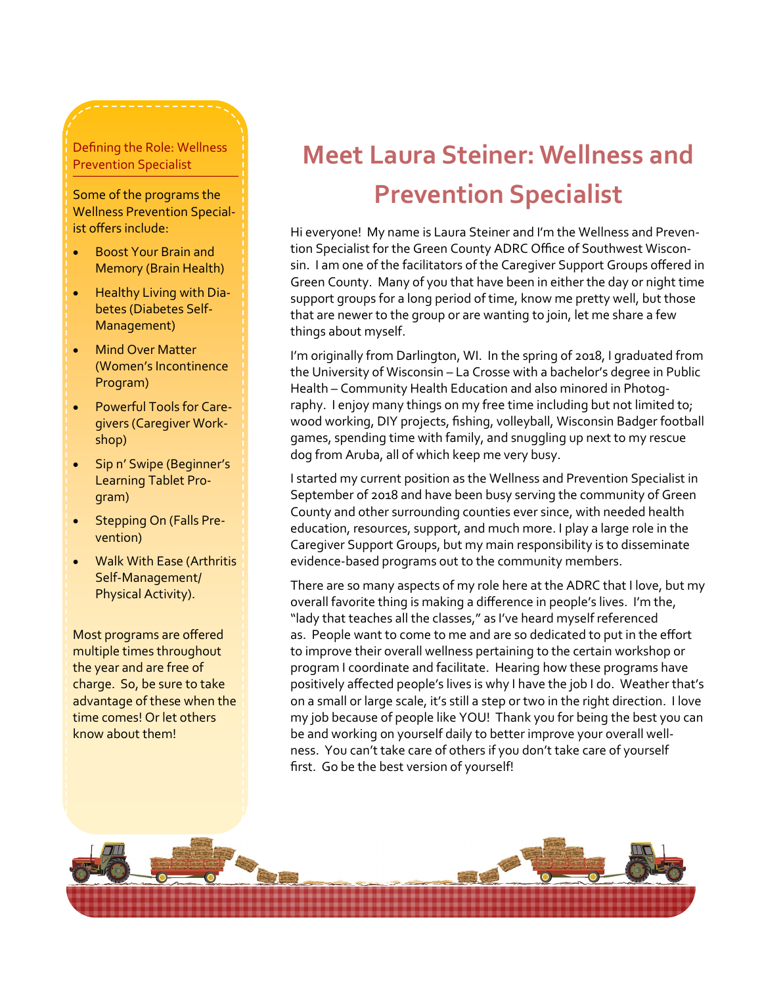#### Defining the Role: Wellness Prevention Specialist

Some of the programs the Wellness Prevention Specialist offers include:

- Boost Your Brain and Memory (Brain Health)
- Healthy Living with Diabetes (Diabetes Self-Management)
- **Mind Over Matter** (Women's Incontinence Program)
- Powerful Tools for Caregivers (Caregiver Workshop)
- Sip n' Swipe (Beginner's Learning Tablet Program)
- Stepping On (Falls Prevention)
- Walk With Ease (Arthritis Self-Management/ Physical Activity).

Most programs are offered multiple times throughout the year and are free of charge. So, be sure to take advantage of these when the time comes! Or let others know about them!

## **Meet Laura Steiner: Wellness and Prevention Specialist**

Hi everyone! My name is Laura Steiner and I'm the Wellness and Prevention Specialist for the Green County ADRC Office of Southwest Wisconsin. I am one of the facilitators of the Caregiver Support Groups offered in Green County. Many of you that have been in either the day or night time support groups for a long period of time, know me pretty well, but those that are newer to the group or are wanting to join, let me share a few things about myself.

I'm originally from Darlington, WI. In the spring of 2018, I graduated from the University of Wisconsin – La Crosse with a bachelor's degree in Public Health – Community Health Education and also minored in Photography. I enjoy many things on my free time including but not limited to; wood working, DIY projects, fishing, volleyball, Wisconsin Badger football games, spending time with family, and snuggling up next to my rescue dog from Aruba, all of which keep me very busy.

I started my current position as the Wellness and Prevention Specialist in September of 2018 and have been busy serving the community of Green County and other surrounding counties ever since, with needed health education, resources, support, and much more. I play a large role in the Caregiver Support Groups, but my main responsibility is to disseminate evidence-based programs out to the community members.

There are so many aspects of my role here at the ADRC that I love, but my overall favorite thing is making a difference in people's lives. I'm the, "lady that teaches all the classes," as I've heard myself referenced as. People want to come to me and are so dedicated to put in the effort to improve their overall wellness pertaining to the certain workshop or program I coordinate and facilitate. Hearing how these programs have positively affected people's lives is why I have the job I do. Weather that's on a small or large scale, it's still a step or two in the right direction. I love my job because of people like YOU! Thank you for being the best you can be and working on yourself daily to better improve your overall wellness. You can't take care of others if you don't take care of yourself first. Go be the best version of yourself!

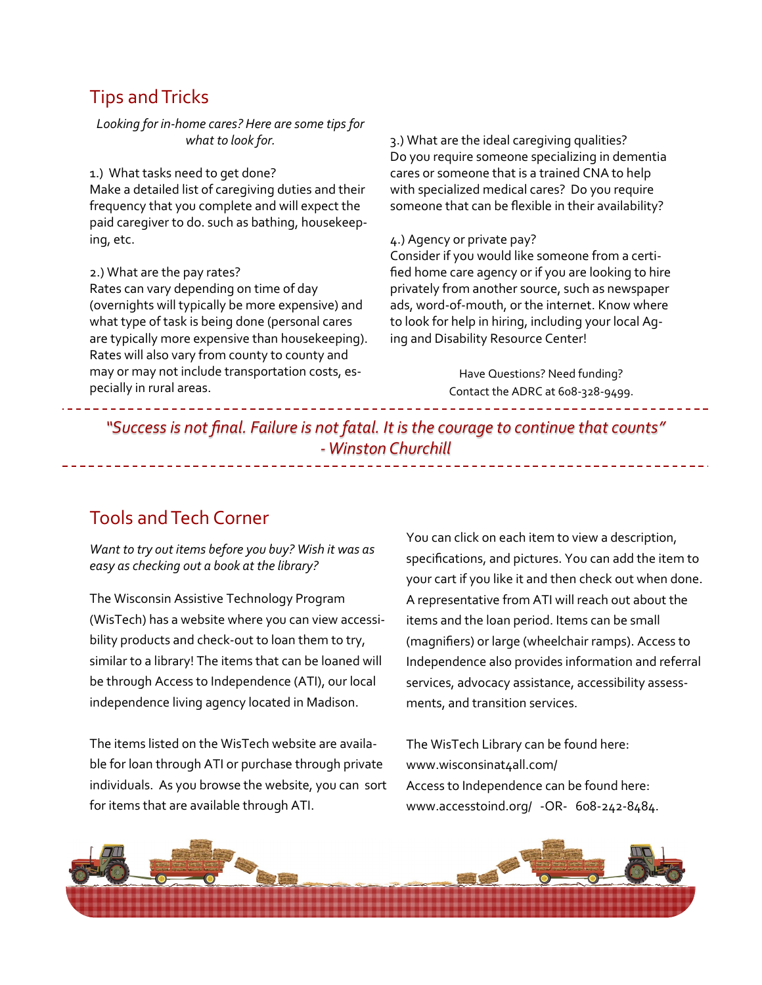### Tips and Tricks

*Looking for in-home cares? Here are some tips for what to look for.*

1.) What tasks need to get done?

Make a detailed list of caregiving duties and their frequency that you complete and will expect the paid caregiver to do. such as bathing, housekeeping, etc.

2.) What are the pay rates?

Rates can vary depending on time of day (overnights will typically be more expensive) and what type of task is being done (personal cares are typically more expensive than housekeeping). Rates will also vary from county to county and may or may not include transportation costs, especially in rural areas.

3.) What are the ideal caregiving qualities? Do you require someone specializing in dementia cares or someone that is a trained CNA to help with specialized medical cares? Do you require someone that can be flexible in their availability?

#### 4.) Agency or private pay?

Consider if you would like someone from a certified home care agency or if you are looking to hire privately from another source, such as newspaper ads, word-of-mouth, or the internet. Know where to look for help in hiring, including your local Aging and Disability Resource Center!

> Have Questions? Need funding? Contact the ADRC at 608-328-9499.

*"Success is not final. Failure is not fatal. It is the courage to continue that counts" -Winston Churchill*

## Tools and Tech Corner

*Want to try out items before you buy? Wish it was as easy as checking out a book at the library?*

The Wisconsin Assistive Technology Program (WisTech) has a website where you can view accessibility products and check-out to loan them to try, similar to a library! The items that can be loaned will be through Access to Independence (ATI), our local independence living agency located in Madison.

The items listed on the WisTech website are available for loan through ATI or purchase through private individuals. As you browse the website, you can sort for items that are available through ATI.

You can click on each item to view a description, specifications, and pictures. You can add the item to your cart if you like it and then check out when done. A representative from ATI will reach out about the items and the loan period. Items can be small (magnifiers) or large (wheelchair ramps). Access to Independence also provides information and referral services, advocacy assistance, accessibility assessments, and transition services.

The WisTech Library can be found here: www.wisconsinat4all.com/ Access to Independence can be found here: www.accesstoind.org/ -OR- 608-242-8484.